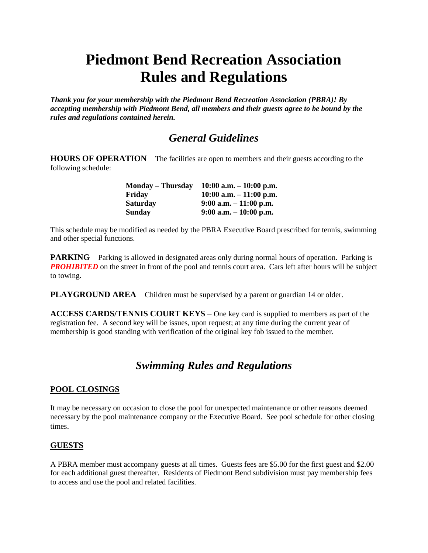# **Piedmont Bend Recreation Association Rules and Regulations**

*Thank you for your membership with the Piedmont Bend Recreation Association (PBRA)! By accepting membership with Piedmont Bend, all members and their guests agree to be bound by the rules and regulations contained herein.*

# *General Guidelines*

**HOURS OF OPERATION** – The facilities are open to members and their guests according to the following schedule:

| <b>Monday – Thursday</b> | $10:00$ a.m. $-10:00$ p.m. |
|--------------------------|----------------------------|
| Fridav                   | $10:00$ a.m. $-11:00$ p.m. |
| <b>Saturday</b>          | $9:00$ a.m. $-11:00$ p.m.  |
| Sunday                   | $9:00$ a.m. $-10:00$ p.m.  |

This schedule may be modified as needed by the PBRA Executive Board prescribed for tennis, swimming and other special functions.

**PARKING** – Parking is allowed in designated areas only during normal hours of operation. Parking is *PROHIBITED* on the street in front of the pool and tennis court area. Cars left after hours will be subject to towing.

**PLAYGROUND AREA** – Children must be supervised by a parent or guardian 14 or older.

**ACCESS CARDS/TENNIS COURT KEYS** – One key card is supplied to members as part of the registration fee. A second key will be issues, upon request; at any time during the current year of membership is good standing with verification of the original key fob issued to the member.

# *Swimming Rules and Regulations*

#### **POOL CLOSINGS**

It may be necessary on occasion to close the pool for unexpected maintenance or other reasons deemed necessary by the pool maintenance company or the Executive Board. See pool schedule for other closing times.

#### **GUESTS**

A PBRA member must accompany guests at all times. Guests fees are \$5.00 for the first guest and \$2.00 for each additional guest thereafter. Residents of Piedmont Bend subdivision must pay membership fees to access and use the pool and related facilities.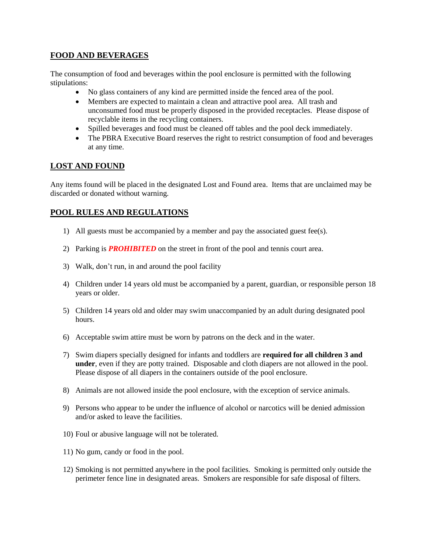# **FOOD AND BEVERAGES**

The consumption of food and beverages within the pool enclosure is permitted with the following stipulations:

- No glass containers of any kind are permitted inside the fenced area of the pool.
- Members are expected to maintain a clean and attractive pool area. All trash and unconsumed food must be properly disposed in the provided receptacles. Please dispose of recyclable items in the recycling containers.
- Spilled beverages and food must be cleaned off tables and the pool deck immediately.
- The PBRA Executive Board reserves the right to restrict consumption of food and beverages at any time.

# **LOST AND FOUND**

Any items found will be placed in the designated Lost and Found area. Items that are unclaimed may be discarded or donated without warning.

## **POOL RULES AND REGULATIONS**

- 1) All guests must be accompanied by a member and pay the associated guest fee(s).
- 2) Parking is *PROHIBITED* on the street in front of the pool and tennis court area.
- 3) Walk, don't run, in and around the pool facility
- 4) Children under 14 years old must be accompanied by a parent, guardian, or responsible person 18 years or older.
- 5) Children 14 years old and older may swim unaccompanied by an adult during designated pool hours.
- 6) Acceptable swim attire must be worn by patrons on the deck and in the water.
- 7) Swim diapers specially designed for infants and toddlers are **required for all children 3 and under**, even if they are potty trained. Disposable and cloth diapers are not allowed in the pool. Please dispose of all diapers in the containers outside of the pool enclosure.
- 8) Animals are not allowed inside the pool enclosure, with the exception of service animals.
- 9) Persons who appear to be under the influence of alcohol or narcotics will be denied admission and/or asked to leave the facilities.
- 10) Foul or abusive language will not be tolerated.
- 11) No gum, candy or food in the pool.
- 12) Smoking is not permitted anywhere in the pool facilities. Smoking is permitted only outside the perimeter fence line in designated areas. Smokers are responsible for safe disposal of filters.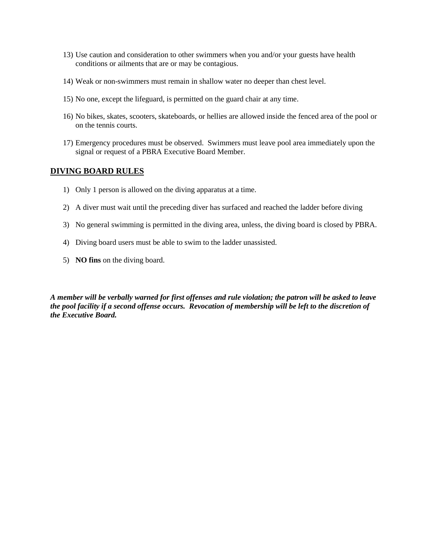- 13) Use caution and consideration to other swimmers when you and/or your guests have health conditions or ailments that are or may be contagious.
- 14) Weak or non-swimmers must remain in shallow water no deeper than chest level.
- 15) No one, except the lifeguard, is permitted on the guard chair at any time.
- 16) No bikes, skates, scooters, skateboards, or hellies are allowed inside the fenced area of the pool or on the tennis courts.
- 17) Emergency procedures must be observed. Swimmers must leave pool area immediately upon the signal or request of a PBRA Executive Board Member.

#### **DIVING BOARD RULES**

- 1) Only 1 person is allowed on the diving apparatus at a time.
- 2) A diver must wait until the preceding diver has surfaced and reached the ladder before diving
- 3) No general swimming is permitted in the diving area, unless, the diving board is closed by PBRA.
- 4) Diving board users must be able to swim to the ladder unassisted.
- 5) **NO fins** on the diving board.

*A member will be verbally warned for first offenses and rule violation; the patron will be asked to leave the pool facility if a second offense occurs. Revocation of membership will be left to the discretion of the Executive Board.*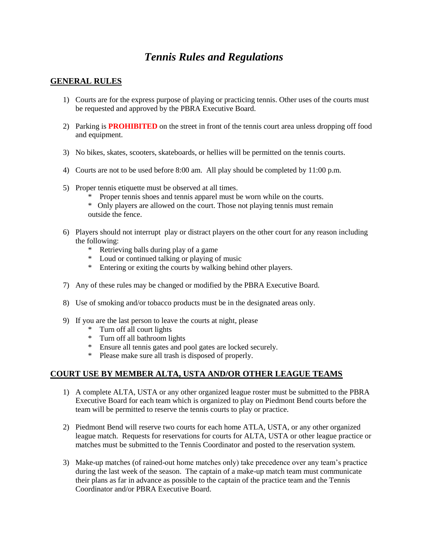# *Tennis Rules and Regulations*

## **GENERAL RULES**

- 1) Courts are for the express purpose of playing or practicing tennis. Other uses of the courts must be requested and approved by the PBRA Executive Board.
- 2) Parking is **PROHIBITED** on the street in front of the tennis court area unless dropping off food and equipment.
- 3) No bikes, skates, scooters, skateboards, or hellies will be permitted on the tennis courts.
- 4) Courts are not to be used before 8:00 am. All play should be completed by 11:00 p.m.
- 5) Proper tennis etiquette must be observed at all times.
	- \* Proper tennis shoes and tennis apparel must be worn while on the courts.
	- \* Only players are allowed on the court. Those not playing tennis must remain outside the fence.
- 6) Players should not interrupt play or distract players on the other court for any reason including the following:
	- \* Retrieving balls during play of a game
	- \* Loud or continued talking or playing of music
	- \* Entering or exiting the courts by walking behind other players.
- 7) Any of these rules may be changed or modified by the PBRA Executive Board.
- 8) Use of smoking and/or tobacco products must be in the designated areas only.
- 9) If you are the last person to leave the courts at night, please
	- \* Turn off all court lights
	- \* Turn off all bathroom lights
	- \* Ensure all tennis gates and pool gates are locked securely.
	- \* Please make sure all trash is disposed of properly.

#### **COURT USE BY MEMBER ALTA, USTA AND/OR OTHER LEAGUE TEAMS**

- 1) A complete ALTA, USTA or any other organized league roster must be submitted to the PBRA Executive Board for each team which is organized to play on Piedmont Bend courts before the team will be permitted to reserve the tennis courts to play or practice.
- 2) Piedmont Bend will reserve two courts for each home ATLA, USTA, or any other organized league match. Requests for reservations for courts for ALTA, USTA or other league practice or matches must be submitted to the Tennis Coordinator and posted to the reservation system.
- 3) Make-up matches (of rained-out home matches only) take precedence over any team's practice during the last week of the season. The captain of a make-up match team must communicate their plans as far in advance as possible to the captain of the practice team and the Tennis Coordinator and/or PBRA Executive Board.